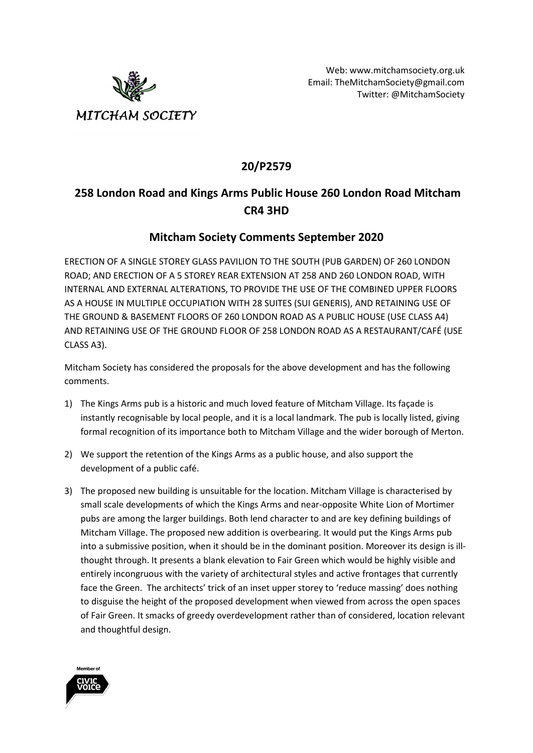

## **20/P2579**

## **258 London Road and Kings Arms Public House 260 London Road Mitcham CR4 3HD**

## **Mitcham Society Comments September 2020**

ERECTION OF A SINGLE STOREY GLASS PAVILION TO THE SOUTH (PUB GARDEN) OF 260 LONDON ROAD; AND ERECTION OF A 5 STOREY REAR EXTENSION AT 258 AND 260 LONDON ROAD, WITH INTERNAL AND EXTERNAL ALTERATIONS, TO PROVIDE THE USE OF THE COMBINED UPPER FLOORS AS A HOUSE IN MULTIPLE OCCUPIATION WITH 28 SUITES (SUI GENERIS), AND RETAINING USE OF THE GROUND & BASEMENT FLOORS OF 260 LONDON ROAD AS A PUBLIC HOUSE (USE CLASS A4) AND RETAINING USE OF THE GROUND FLOOR OF 258 LONDON ROAD AS A RESTAURANT/CAFÉ (USE CLASS A3).

Mitcham Society has considered the proposals for the above development and has the following comments.

- 1) The Kings Arms pub is a historic and much loved feature of Mitcham Village. Its façade is instantly recognisable by local people, and it is a local landmark. The pub is locally listed, giving formal recognition of its importance both to Mitcham Village and the wider borough of Merton.
- 2) We support the retention of the Kings Arms as a public house, and also support the development of a public café.
- 3) The proposed new building is unsuitable for the location. Mitcham Village is characterised by small scale developments of which the Kings Arms and near-opposite White Lion of Mortimer pubs are among the larger buildings. Both lend character to and are key defining buildings of Mitcham Village. The proposed new addition is overbearing. It would put the Kings Arms pub into a submissive position, when it should be in the dominant position. Moreover its design is illthought through. It presents a blank elevation to Fair Green which would be highly visible and entirely incongruous with the variety of architectural styles and active frontages that currently face the Green. The architects' trick of an inset upper storey to 'reduce massing' does nothing to disguise the height of the proposed development when viewed from across the open spaces of Fair Green. It smacks of greedy overdevelopment rather than of considered, location relevant and thoughtful design.